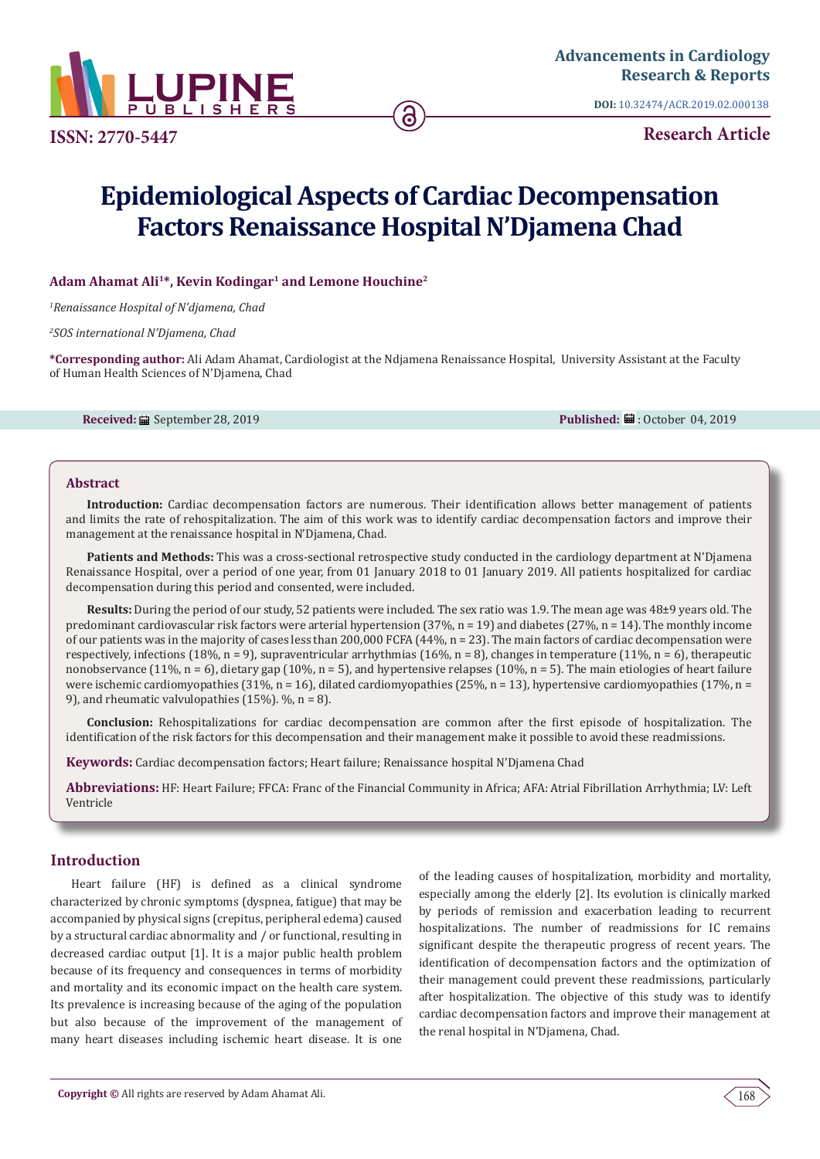

**ISSN: 2770-5447**

**DOI:** [10.32474/ACR.2019.02.000138](http://dx.doi.org/10.32474/ACR.2019.02.000138)

**Research Article**

# **Epidemiological Aspects of Cardiac Decompensation Factors Renaissance Hospital N'Djamena Chad**

ခ

## Adam Ahamat Ali<sup>1\*</sup>, Kevin Kodingar<sup>1</sup> and Lemone Houchine<sup>2</sup>

*1 Renaissance Hospital of N'djamena, Chad*

*2 SOS international N'Djamena, Chad*

**\*Corresponding author:** Ali Adam Ahamat, Cardiologist at the Ndjamena Renaissance Hospital, University Assistant at the Faculty of Human Health Sciences of N'Djamena, Chad

**Received:** September 28, 2019 **Published:** : October 04, 2019

## **Abstract**

**Introduction:** Cardiac decompensation factors are numerous. Their identification allows better management of patients and limits the rate of rehospitalization. The aim of this work was to identify cardiac decompensation factors and improve their management at the renaissance hospital in N'Djamena, Chad.

Patients and Methods: This was a cross-sectional retrospective study conducted in the cardiology department at N'Djamena Renaissance Hospital, over a period of one year, from 01 January 2018 to 01 January 2019. All patients hospitalized for cardiac decompensation during this period and consented, were included.

**Results:** During the period of our study, 52 patients were included. The sex ratio was 1.9. The mean age was 48±9 years old. The predominant cardiovascular risk factors were arterial hypertension (37%, n = 19) and diabetes (27%, n = 14). The monthly income of our patients was in the majority of cases less than 200,000 FCFA (44%, n = 23). The main factors of cardiac decompensation were respectively, infections (18%, n = 9), supraventricular arrhythmias (16%, n = 8), changes in temperature (11%, n = 6), therapeutic nonobservance (11%, n = 6), dietary gap (10%, n = 5), and hypertensive relapses (10%, n = 5). The main etiologies of heart failure were ischemic cardiomyopathies (31%, n = 16), dilated cardiomyopathies (25%, n = 13), hypertensive cardiomyopathies (17%, n = 9), and rheumatic valvulopathies (15%). %, n = 8).

**Conclusion:** Rehospitalizations for cardiac decompensation are common after the first episode of hospitalization. The identification of the risk factors for this decompensation and their management make it possible to avoid these readmissions.

**Keywords:** Cardiac decompensation factors; Heart failure; Renaissance hospital N'Djamena Chad

**Abbreviations:** HF: Heart Failure; FFCA: Franc of the Financial Community in Africa; AFA: Atrial Fibrillation Arrhythmia; LV: Left Ventricle

# **Introduction**

Heart failure (HF) is defined as a clinical syndrome characterized by chronic symptoms (dyspnea, fatigue) that may be accompanied by physical signs (crepitus, peripheral edema) caused by a structural cardiac abnormality and / or functional, resulting in decreased cardiac output [1]. It is a major public health problem because of its frequency and consequences in terms of morbidity and mortality and its economic impact on the health care system. Its prevalence is increasing because of the aging of the population but also because of the improvement of the management of many heart diseases including ischemic heart disease. It is one

of the leading causes of hospitalization, morbidity and mortality, especially among the elderly [2]. Its evolution is clinically marked by periods of remission and exacerbation leading to recurrent hospitalizations. The number of readmissions for IC remains significant despite the therapeutic progress of recent years. The identification of decompensation factors and the optimization of their management could prevent these readmissions, particularly after hospitalization. The objective of this study was to identify cardiac decompensation factors and improve their management at the renal hospital in N'Djamena, Chad.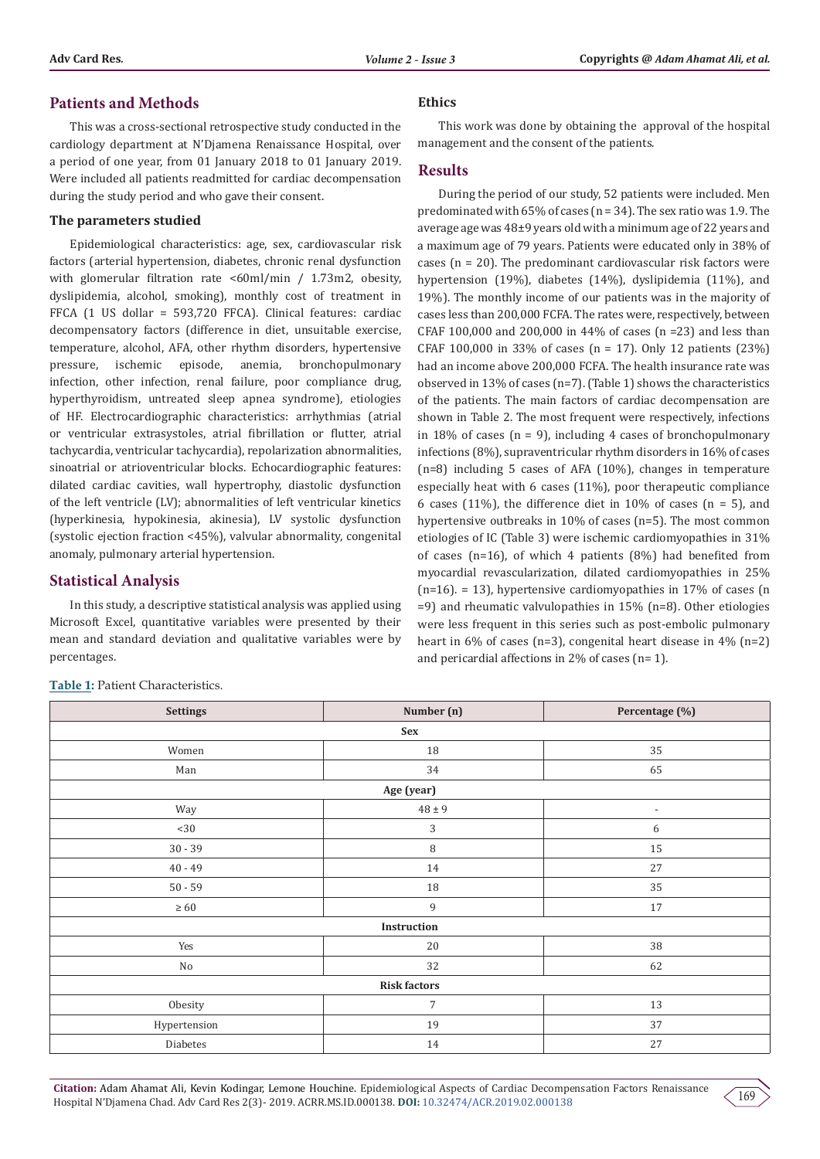## **Patients and Methods**

This was a cross-sectional retrospective study conducted in the cardiology department at N'Djamena Renaissance Hospital, over a period of one year, from 01 January 2018 to 01 January 2019. Were included all patients readmitted for cardiac decompensation during the study period and who gave their consent.

#### **The parameters studied**

Epidemiological characteristics: age, sex, cardiovascular risk factors (arterial hypertension, diabetes, chronic renal dysfunction with glomerular filtration rate <60ml/min / 1.73m2, obesity, dyslipidemia, alcohol, smoking), monthly cost of treatment in FFCA (1 US dollar = 593,720 FFCA). Clinical features: cardiac decompensatory factors (difference in diet, unsuitable exercise, temperature, alcohol, AFA, other rhythm disorders, hypertensive pressure, ischemic episode, anemia, bronchopulmonary infection, other infection, renal failure, poor compliance drug, hyperthyroidism, untreated sleep apnea syndrome), etiologies of HF. Electrocardiographic characteristics: arrhythmias (atrial or ventricular extrasystoles, atrial fibrillation or flutter, atrial tachycardia, ventricular tachycardia), repolarization abnormalities, sinoatrial or atrioventricular blocks. Echocardiographic features: dilated cardiac cavities, wall hypertrophy, diastolic dysfunction of the left ventricle (LV); abnormalities of left ventricular kinetics (hyperkinesia, hypokinesia, akinesia), LV systolic dysfunction (systolic ejection fraction <45%), valvular abnormality, congenital anomaly, pulmonary arterial hypertension.

## **Statistical Analysis**

In this study, a descriptive statistical analysis was applied using Microsoft Excel, quantitative variables were presented by their mean and standard deviation and qualitative variables were by percentages.

#### **Ethics**

This work was done by obtaining the approval of the hospital management and the consent of the patients.

#### **Results**

During the period of our study, 52 patients were included. Men predominated with  $65\%$  of cases (n = 34). The sex ratio was 1.9. The average age was 48±9 years old with a minimum age of 22 years and a maximum age of 79 years. Patients were educated only in 38% of cases ( $n = 20$ ). The predominant cardiovascular risk factors were hypertension (19%), diabetes (14%), dyslipidemia (11%), and 19%). The monthly income of our patients was in the majority of cases less than 200,000 FCFA. The rates were, respectively, between CFAF 100,000 and 200,000 in 44% of cases (n =23) and less than CFAF 100,000 in 33% of cases (n = 17). Only 12 patients (23%) had an income above 200,000 FCFA. The health insurance rate was observed in 13% of cases (n=7). (Table 1) shows the characteristics of the patients. The main factors of cardiac decompensation are shown in Table 2. The most frequent were respectively, infections in 18% of cases ( $n = 9$ ), including 4 cases of bronchopulmonary infections (8%), supraventricular rhythm disorders in 16% of cases (n=8) including 5 cases of AFA (10%), changes in temperature especially heat with 6 cases (11%), poor therapeutic compliance 6 cases (11%), the difference diet in 10% of cases ( $n = 5$ ), and hypertensive outbreaks in 10% of cases (n=5). The most common etiologies of IC (Table 3) were ischemic cardiomyopathies in 31% of cases (n=16), of which 4 patients (8%) had benefited from myocardial revascularization, dilated cardiomyopathies in 25%  $(n=16)$ . = 13), hypertensive cardiomyopathies in 17% of cases (n =9) and rheumatic valvulopathies in 15% (n=8). Other etiologies were less frequent in this series such as post-embolic pulmonary heart in 6% of cases (n=3), congenital heart disease in 4% (n=2) and pericardial affections in 2% of cases (n= 1).

| <b>Settings</b>     | Number (n)     | Percentage (%)           |  |  |
|---------------------|----------------|--------------------------|--|--|
| Sex                 |                |                          |  |  |
| Women               | $18\,$         | 35                       |  |  |
| Man                 | 34             | 65                       |  |  |
| Age (year)          |                |                          |  |  |
| Way                 | $48 \pm 9$     | $\overline{\phantom{a}}$ |  |  |
| $<$ 30              | $\mathfrak{Z}$ | 6                        |  |  |
| $30 - 39$           | $\, 8$         | 15                       |  |  |
| $40 - 49$           | 14             | 27                       |  |  |
| $50 - 59$           | 18             | 35                       |  |  |
| $\geq 60$           | 9              | 17                       |  |  |
| Instruction         |                |                          |  |  |
| Yes                 | $20\,$         | $38\,$                   |  |  |
| No                  | 32             | 62                       |  |  |
| <b>Risk factors</b> |                |                          |  |  |
| Obesity             | $\overline{7}$ | 13                       |  |  |
| Hypertension        | 19             | 37                       |  |  |
| Diabetes            | $14\,$         | 27                       |  |  |

**Table 1:** Patient Characteristics.

169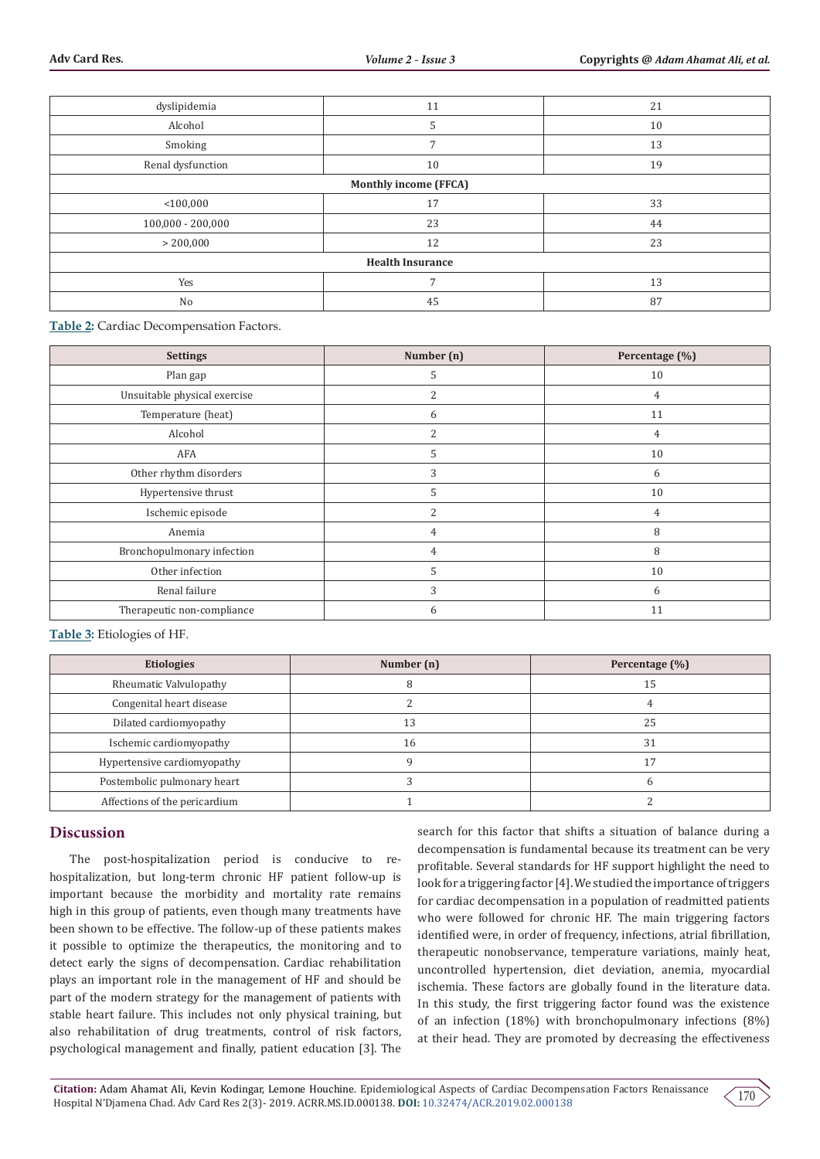| dyslipidemia            | 11           | 21 |  |  |
|-------------------------|--------------|----|--|--|
| Alcohol                 | 5            | 10 |  |  |
| Smoking                 | 7            | 13 |  |  |
| Renal dysfunction       | 10           | 19 |  |  |
| Monthly income (FFCA)   |              |    |  |  |
| $<$ 100,000             | 17           | 33 |  |  |
| $100,000 - 200,000$     | 23           | 44 |  |  |
| > 200,000               | 12           | 23 |  |  |
| <b>Health Insurance</b> |              |    |  |  |
| Yes                     | $\mathbf{r}$ | 13 |  |  |
| No                      | 45           | 87 |  |  |

**Table 2:** Cardiac Decompensation Factors.

| <b>Settings</b>              | Number (n) | Percentage (%) |
|------------------------------|------------|----------------|
| Plan gap                     | 5          | 10             |
| Unsuitable physical exercise | 2          | 4              |
| Temperature (heat)           | 6          | 11             |
| Alcohol                      | 2          | 4              |
| AFA                          | 5          | 10             |
| Other rhythm disorders       | 3          | 6              |
| Hypertensive thrust          | 5          | 10             |
| Ischemic episode             | 2          | 4              |
| Anemia                       | 4          | 8              |
| Bronchopulmonary infection   | 4          | 8              |
| Other infection              | 5          | 10             |
| Renal failure                | 3          | 6              |
| Therapeutic non-compliance   | 6          | 11             |

#### **Table 3:** Etiologies of HF.

| <b>Etiologies</b>             | Number (n) | Percentage (%) |
|-------------------------------|------------|----------------|
| Rheumatic Valvulopathy        |            | 15             |
| Congenital heart disease      |            |                |
| Dilated cardiomyopathy        | 13         | 25             |
| Ischemic cardiomyopathy       | 16         | 31             |
| Hypertensive cardiomyopathy   |            |                |
| Postembolic pulmonary heart   |            |                |
| Affections of the pericardium |            |                |

## **Discussion**

The post-hospitalization period is conducive to rehospitalization, but long-term chronic HF patient follow-up is important because the morbidity and mortality rate remains high in this group of patients, even though many treatments have been shown to be effective. The follow-up of these patients makes it possible to optimize the therapeutics, the monitoring and to detect early the signs of decompensation. Cardiac rehabilitation plays an important role in the management of HF and should be part of the modern strategy for the management of patients with stable heart failure. This includes not only physical training, but also rehabilitation of drug treatments, control of risk factors, psychological management and finally, patient education [3]. The search for this factor that shifts a situation of balance during a decompensation is fundamental because its treatment can be very profitable. Several standards for HF support highlight the need to look for a triggering factor [4]. We studied the importance of triggers for cardiac decompensation in a population of readmitted patients who were followed for chronic HF. The main triggering factors identified were, in order of frequency, infections, atrial fibrillation, therapeutic nonobservance, temperature variations, mainly heat, uncontrolled hypertension, diet deviation, anemia, myocardial ischemia. These factors are globally found in the literature data. In this study, the first triggering factor found was the existence of an infection (18%) with bronchopulmonary infections (8%) at their head. They are promoted by decreasing the effectiveness

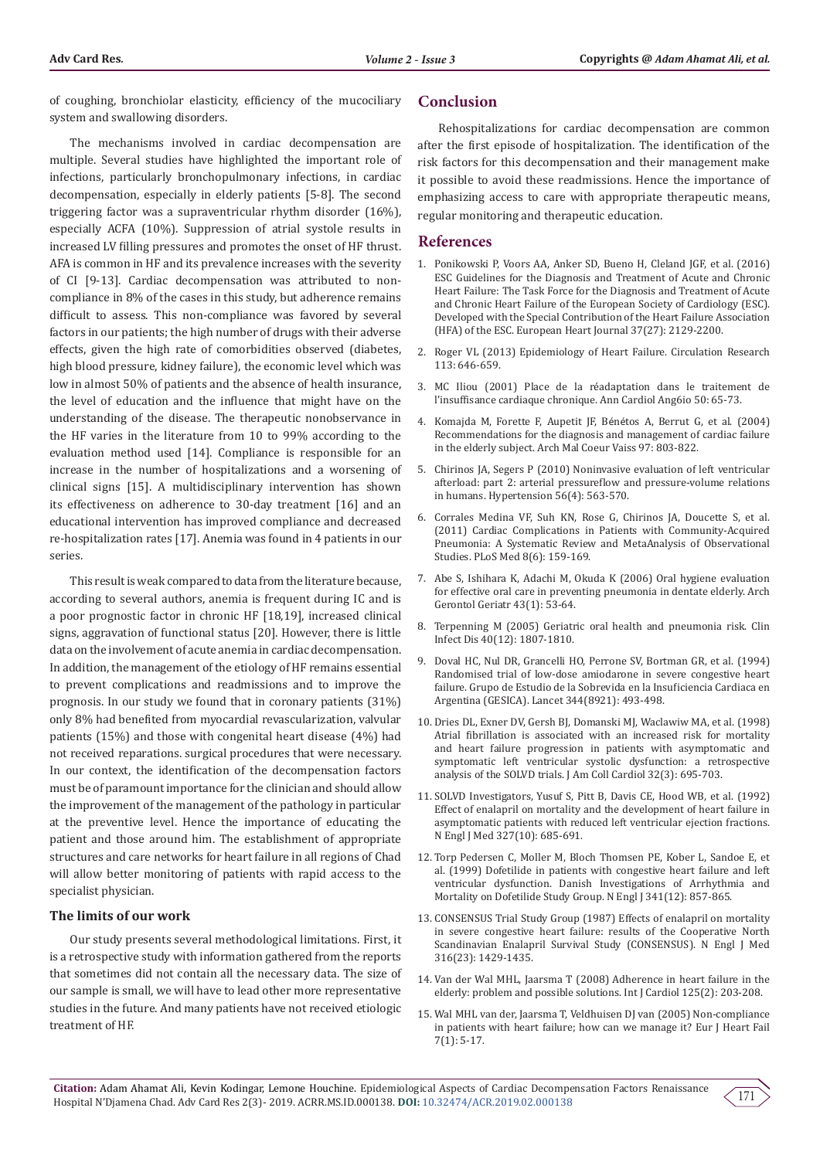of coughing, bronchiolar elasticity, efficiency of the mucociliary system and swallowing disorders.

The mechanisms involved in cardiac decompensation are multiple. Several studies have highlighted the important role of infections, particularly bronchopulmonary infections, in cardiac decompensation, especially in elderly patients [5-8]. The second triggering factor was a supraventricular rhythm disorder (16%), especially ACFA (10%). Suppression of atrial systole results in increased LV filling pressures and promotes the onset of HF thrust. AFA is common in HF and its prevalence increases with the severity of CI [9-13]. Cardiac decompensation was attributed to noncompliance in 8% of the cases in this study, but adherence remains difficult to assess. This non-compliance was favored by several factors in our patients; the high number of drugs with their adverse effects, given the high rate of comorbidities observed (diabetes, high blood pressure, kidney failure), the economic level which was low in almost 50% of patients and the absence of health insurance, the level of education and the influence that might have on the understanding of the disease. The therapeutic nonobservance in the HF varies in the literature from 10 to 99% according to the evaluation method used [14]. Compliance is responsible for an increase in the number of hospitalizations and a worsening of clinical signs [15]. A multidisciplinary intervention has shown its effectiveness on adherence to 30-day treatment [16] and an educational intervention has improved compliance and decreased re-hospitalization rates [17]. Anemia was found in 4 patients in our series.

This result is weak compared to data from the literature because, according to several authors, anemia is frequent during IC and is a poor prognostic factor in chronic HF [18,19], increased clinical signs, aggravation of functional status [20]. However, there is little data on the involvement of acute anemia in cardiac decompensation. In addition, the management of the etiology of HF remains essential to prevent complications and readmissions and to improve the prognosis. In our study we found that in coronary patients (31%) only 8% had benefited from myocardial revascularization, valvular patients (15%) and those with congenital heart disease (4%) had not received reparations. surgical procedures that were necessary. In our context, the identification of the decompensation factors must be of paramount importance for the clinician and should allow the improvement of the management of the pathology in particular at the preventive level. Hence the importance of educating the patient and those around him. The establishment of appropriate structures and care networks for heart failure in all regions of Chad will allow better monitoring of patients with rapid access to the specialist physician.

#### **The limits of our work**

Our study presents several methodological limitations. First, it is a retrospective study with information gathered from the reports that sometimes did not contain all the necessary data. The size of our sample is small, we will have to lead other more representative studies in the future. And many patients have not received etiologic treatment of HF.

## **Conclusion**

Rehospitalizations for cardiac decompensation are common after the first episode of hospitalization. The identification of the risk factors for this decompensation and their management make it possible to avoid these readmissions. Hence the importance of emphasizing access to care with appropriate therapeutic means, regular monitoring and therapeutic education.

#### **References**

- 1. [Ponikowski P, Voors AA, Anker SD, Bueno H, Cleland JGF, et al. \(2016\)](https://www.ncbi.nlm.nih.gov/pubmed/27206819) [ESC Guidelines for the Diagnosis and Treatment of Acute and Chronic](https://www.ncbi.nlm.nih.gov/pubmed/27206819) [Heart Failure: The Task Force for the Diagnosis and Treatment of Acute](https://www.ncbi.nlm.nih.gov/pubmed/27206819) [and Chronic Heart Failure of the European Society of Cardiology \(ESC\).](https://www.ncbi.nlm.nih.gov/pubmed/27206819) [Developed with the Special Contribution of the Heart Failure Association](https://www.ncbi.nlm.nih.gov/pubmed/27206819) [\(HFA\) of the ESC. European Heart Journal 37\(27\): 2129-2200.](https://www.ncbi.nlm.nih.gov/pubmed/27206819)
- 2. [Roger VL \(2013\) Epidemiology of Heart Failure. Circulation Research](https://www.ahajournals.org/doi/full/10.1161/circresaha.113.300268) [113: 646-659.](https://www.ahajournals.org/doi/full/10.1161/circresaha.113.300268)
- 3. MC Iliou (2001) Place de la réadaptation dans le traitement de l'insuffisance cardiaque chronique. Ann Cardiol Ang6io 50: 65-73.
- 4. Komajda M, Forette F, Aupetit JF, Bénétos A, Berrut G, et al. (2004) Recommendations for the diagnosis and management of cardiac failure in the elderly subject. Arch Mal Coeur Vaiss 97: 803-822.
- 5. [Chirinos JA, Segers P \(2010\) Noninvasive evaluation of left ventricular](https://www.ncbi.nlm.nih.gov/pubmed/20733088) [afterload: part 2: arterial pressureflow and pressure-volume relations](https://www.ncbi.nlm.nih.gov/pubmed/20733088) [in humans. Hypertension 56\(4\): 563-570.](https://www.ncbi.nlm.nih.gov/pubmed/20733088)
- 6. [Corrales Medina VF, Suh KN, Rose G, Chirinos JA, Doucette S, et al.](https://www.ncbi.nlm.nih.gov/pubmed/21738449) [\(2011\) Cardiac Complications in Patients with Community-Acquired](https://www.ncbi.nlm.nih.gov/pubmed/21738449) [Pneumonia: A Systematic Review and MetaAnalysis of Observational](https://www.ncbi.nlm.nih.gov/pubmed/21738449) [Studies. PLoS Med 8\(6\): 159-169.](https://www.ncbi.nlm.nih.gov/pubmed/21738449)
- 7. [Abe S, Ishihara K, Adachi M, Okuda K \(2006\) Oral hygiene evaluation](https://www.ncbi.nlm.nih.gov/pubmed/16271775) [for effective oral care in preventing pneumonia in dentate elderly. Arch](https://www.ncbi.nlm.nih.gov/pubmed/16271775) [Gerontol Geriatr 43\(1\): 53-64.](https://www.ncbi.nlm.nih.gov/pubmed/16271775)
- 8. [Terpenning M \(2005\) Geriatric oral health and pneumonia risk. Clin](https://www.ncbi.nlm.nih.gov/pubmed/15909270) [Infect Dis 40\(12\): 1807-1810.](https://www.ncbi.nlm.nih.gov/pubmed/15909270)
- 9. [Doval HC, Nul DR, Grancelli HO, Perrone SV, Bortman GR, et al. \(1994\)](https://www.ncbi.nlm.nih.gov/pubmed/7914611) [Randomised trial of low-dose amiodarone in severe congestive heart](https://www.ncbi.nlm.nih.gov/pubmed/7914611) [failure. Grupo de Estudio de la Sobrevida en la Insuficiencia Cardiaca en](https://www.ncbi.nlm.nih.gov/pubmed/7914611) [Argentina \(GESICA\). Lancet 344\(8921\): 493-498.](https://www.ncbi.nlm.nih.gov/pubmed/7914611)
- 10. [Dries DL, Exner DV, Gersh BJ, Domanski MJ, Waclawiw MA, et al. \(1998\)](https://www.ncbi.nlm.nih.gov/pubmed/9741514) [Atrial fibrillation is associated with an increased risk for mortality](https://www.ncbi.nlm.nih.gov/pubmed/9741514) [and heart failure progression in patients with asymptomatic and](https://www.ncbi.nlm.nih.gov/pubmed/9741514) [symptomatic left ventricular systolic dysfunction: a retrospective](https://www.ncbi.nlm.nih.gov/pubmed/9741514) [analysis of the SOLVD trials. J Am Coll Cardiol 32\(3\): 695-703.](https://www.ncbi.nlm.nih.gov/pubmed/9741514)
- 11. [SOLVD Investigators, Yusuf S, Pitt B, Davis CE, Hood WB, et al. \(1992\)](https://www.ncbi.nlm.nih.gov/pubmed/1463530) [Effect of enalapril on mortality and the development of heart failure in](https://www.ncbi.nlm.nih.gov/pubmed/1463530) [asymptomatic patients with reduced left ventricular ejection fractions.](https://www.ncbi.nlm.nih.gov/pubmed/1463530) [N Engl J Med 327\(10\): 685-691.](https://www.ncbi.nlm.nih.gov/pubmed/1463530)
- 12. [Torp Pedersen C, Moller M, Bloch Thomsen PE, Kober L, Sandoe E, et](https://www.ncbi.nlm.nih.gov/pubmed/10486417) al. (1999) [Dofetilide in patients with congestive heart failure and left](https://www.ncbi.nlm.nih.gov/pubmed/10486417) [ventricular dysfunction. Danish Investigations of Arrhythmia and](https://www.ncbi.nlm.nih.gov/pubmed/10486417) [Mortality on Dofetilide Study Group. N Engl J 341\(12\): 857-865.](https://www.ncbi.nlm.nih.gov/pubmed/10486417)
- 13. [CONSENSUS Trial Study Group \(1987\) Effects of enalapril on mortality](https://www.ncbi.nlm.nih.gov/pubmed/2883575) [in severe congestive heart failure: results of the Cooperative North](https://www.ncbi.nlm.nih.gov/pubmed/2883575) [Scandinavian Enalapril Survival Study \(CONSENSUS\). N Engl J Med](https://www.ncbi.nlm.nih.gov/pubmed/2883575) [316\(23\): 1429-1435.](https://www.ncbi.nlm.nih.gov/pubmed/2883575)
- 14. [Van der Wal MHL, Jaarsma T \(2008\) Adherence in heart failure in the](https://www.ncbi.nlm.nih.gov/pubmed/18031843) [elderly: problem and possible solutions. Int J Cardiol 125\(2\): 203-208.](https://www.ncbi.nlm.nih.gov/pubmed/18031843)
- 15. [Wal MHL van der, Jaarsma T, Veldhuisen DJ van \(2005\) Non-compliance](https://www.ncbi.nlm.nih.gov/pubmed/15642526) [in patients with heart failure; how can we manage it? Eur J Heart Fail](https://www.ncbi.nlm.nih.gov/pubmed/15642526) [7\(1\): 5-17.](https://www.ncbi.nlm.nih.gov/pubmed/15642526)

171